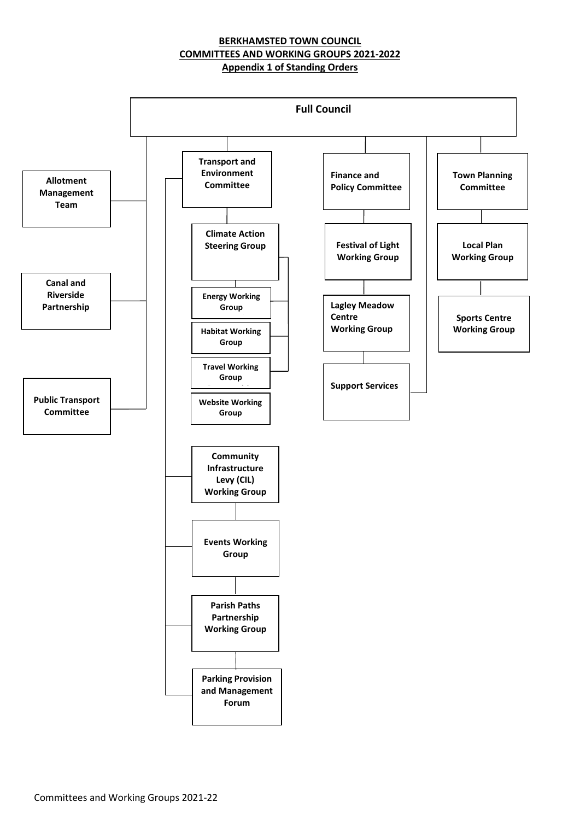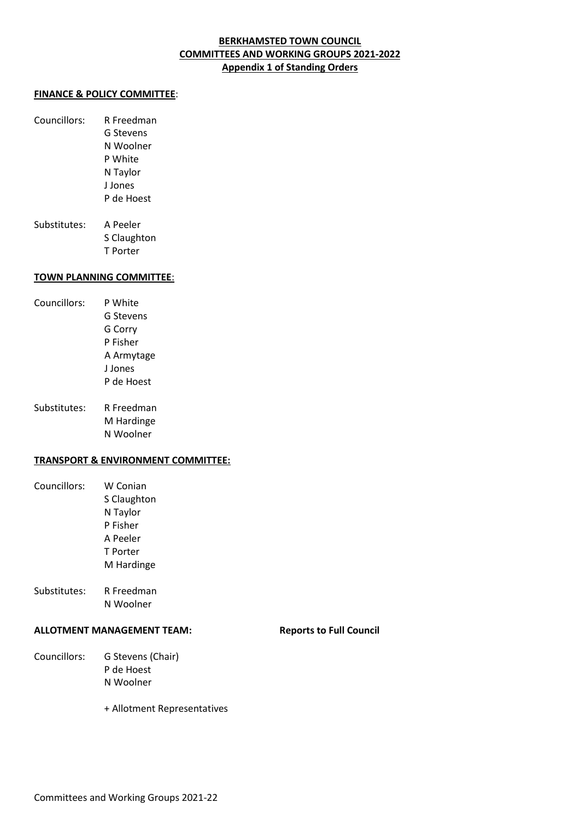#### **FINANCE & POLICY COMMITTEE**:

Councillors: R Freedman G Stevens N Woolner P White N Taylor J Jones P de Hoest Substitutes: A Peeler

S Claughton T Porter

#### **TOWN PLANNING COMMITTEE**:

- Councillors: P White G Stevens G Corry P Fisher A Armytage J Jones P de Hoest
- Substitutes: R Freedman M Hardinge N Woolner

#### **TRANSPORT & ENVIRONMENT COMMITTEE:**

- Councillors: W Conian S Claughton N Taylor P Fisher A Peeler T Porter M Hardinge
- Substitutes: R Freedman N Woolner

#### **ALLOTMENT MANAGEMENT TEAM: Reports to Full Council**

Councillors: G Stevens (Chair) P de Hoest N Woolner

+ Allotment Representatives

Committees and Working Groups 2021-22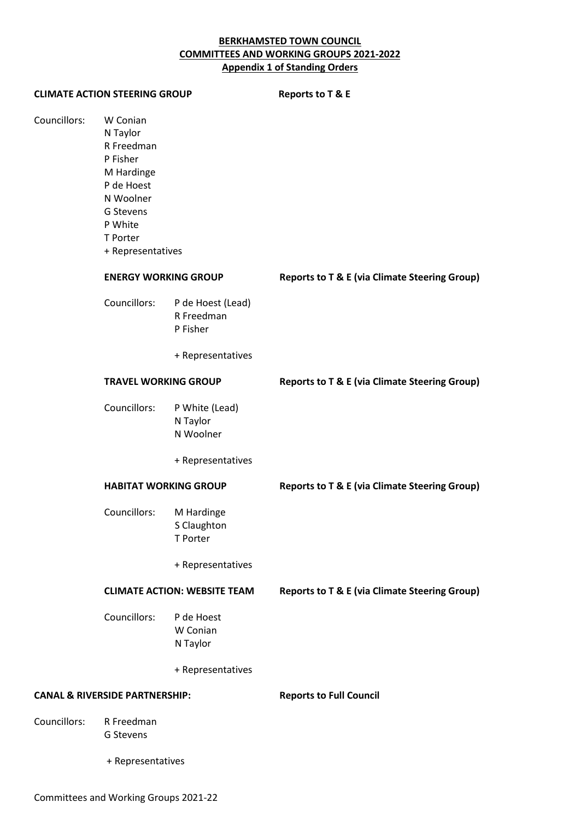| <b>CLIMATE ACTION STEERING GROUP</b>      |                                                                                                                                                  |                                                                  | <b>Reports to T &amp; E</b>                              |  |
|-------------------------------------------|--------------------------------------------------------------------------------------------------------------------------------------------------|------------------------------------------------------------------|----------------------------------------------------------|--|
| Councillors:                              | W Conian<br>N Taylor<br>R Freedman<br>P Fisher<br>M Hardinge<br>P de Hoest<br>N Woolner<br>G Stevens<br>P White<br>T Porter<br>+ Representatives |                                                                  |                                                          |  |
|                                           | <b>ENERGY WORKING GROUP</b>                                                                                                                      |                                                                  | <b>Reports to T &amp; E (via Climate Steering Group)</b> |  |
|                                           | Councillors:                                                                                                                                     | P de Hoest (Lead)<br>R Freedman<br>P Fisher<br>+ Representatives |                                                          |  |
|                                           | <b>TRAVEL WORKING GROUP</b>                                                                                                                      |                                                                  | <b>Reports to T &amp; E (via Climate Steering Group)</b> |  |
|                                           | Councillors:                                                                                                                                     | P White (Lead)<br>N Taylor<br>N Woolner                          |                                                          |  |
|                                           |                                                                                                                                                  | + Representatives                                                |                                                          |  |
|                                           | <b>HABITAT WORKING GROUP</b>                                                                                                                     |                                                                  | <b>Reports to T &amp; E (via Climate Steering Group)</b> |  |
|                                           | Councillors:                                                                                                                                     | M Hardinge<br>S Claughton<br>T Porter<br>+ Representatives       |                                                          |  |
|                                           | <b>CLIMATE ACTION: WEBSITE TEAM</b>                                                                                                              |                                                                  | <b>Reports to T &amp; E (via Climate Steering Group)</b> |  |
|                                           | Councillors:                                                                                                                                     | P de Hoest<br>W Conian<br>N Taylor                               |                                                          |  |
|                                           |                                                                                                                                                  | + Representatives                                                |                                                          |  |
| <b>CANAL &amp; RIVERSIDE PARTNERSHIP:</b> |                                                                                                                                                  |                                                                  | <b>Reports to Full Council</b>                           |  |
| Councillors:                              | R Freedman<br>G Stevens                                                                                                                          |                                                                  |                                                          |  |
|                                           | + Representatives                                                                                                                                |                                                                  |                                                          |  |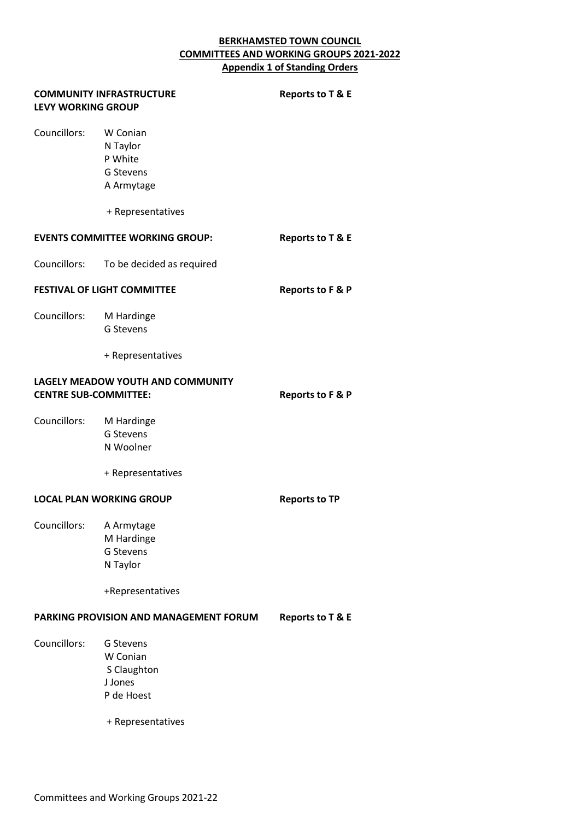| <b>LEVY WORKING GROUP</b>                                         | <b>COMMUNITY INFRASTRUCTURE</b>                                                    | Reports to T & E            |
|-------------------------------------------------------------------|------------------------------------------------------------------------------------|-----------------------------|
| Councillors:                                                      | W Conian<br>N Taylor<br>P White<br>G Stevens<br>A Armytage<br>+ Representatives    |                             |
|                                                                   | <b>EVENTS COMMITTEE WORKING GROUP:</b>                                             | Reports to T & E            |
| Councillors:                                                      | To be decided as required                                                          |                             |
| <b>FESTIVAL OF LIGHT COMMITTEE</b>                                |                                                                                    | Reports to F & P            |
| Councillors:                                                      | M Hardinge<br><b>G Stevens</b>                                                     |                             |
|                                                                   | + Representatives                                                                  |                             |
| LAGELY MEADOW YOUTH AND COMMUNITY<br><b>CENTRE SUB-COMMITTEE:</b> |                                                                                    | Reports to F & P            |
| Councillors:                                                      | M Hardinge<br>G Stevens<br>N Woolner<br>+ Representatives                          |                             |
| <b>LOCAL PLAN WORKING GROUP</b>                                   |                                                                                    | <b>Reports to TP</b>        |
| Councillors:                                                      | A Armytage<br>M Hardinge<br>G Stevens<br>N Taylor<br>+Representatives              |                             |
| PARKING PROVISION AND MANAGEMENT FORUM                            |                                                                                    | <b>Reports to T &amp; E</b> |
| Councillors:                                                      | G Stevens<br>W Conian<br>S Claughton<br>J Jones<br>P de Hoest<br>+ Representatives |                             |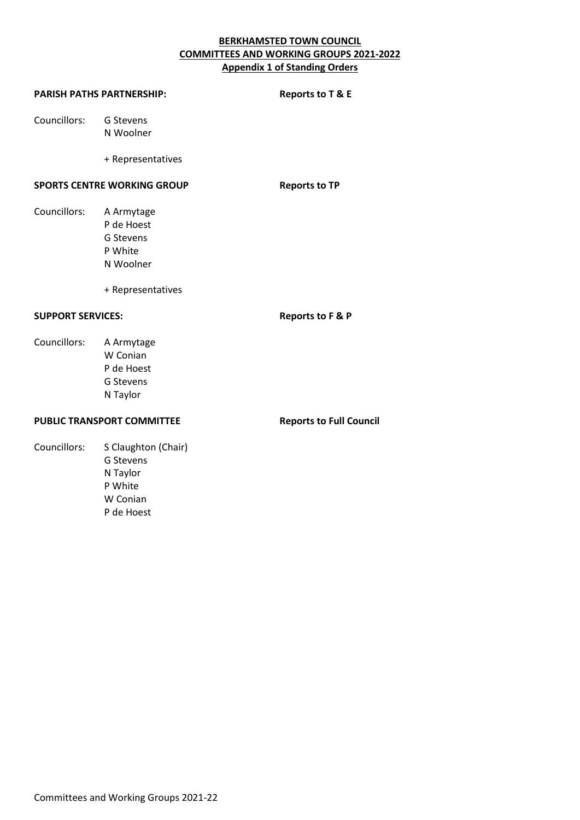| <b>PARISH PATHS PARTNERSHIP:</b>   | Reports to T & E                                                                   |                      |
|------------------------------------|------------------------------------------------------------------------------------|----------------------|
| Councillors:                       | G Stevens<br>N Woolner                                                             |                      |
|                                    | + Representatives                                                                  |                      |
| <b>SPORTS CENTRE WORKING GROUP</b> |                                                                                    | <b>Reports to TP</b> |
| Councillors:                       | A Armytage<br>P de Hoest<br>G Stevens<br>P White<br>N Woolner<br>+ Representatives |                      |
| <b>SUPPORT SERVICES:</b>           |                                                                                    | Reports to F & P     |
| Councillors:                       | A Armytage<br>W Conian<br>P de Hoest<br>G Stevens<br>N Taylor                      |                      |

# **PUBLIC TRANSPORT COMMITTEE** Reports to Full Council

Councillors: S Claughton (Chair) G Stevens N Taylor P White W Conian P de Hoest